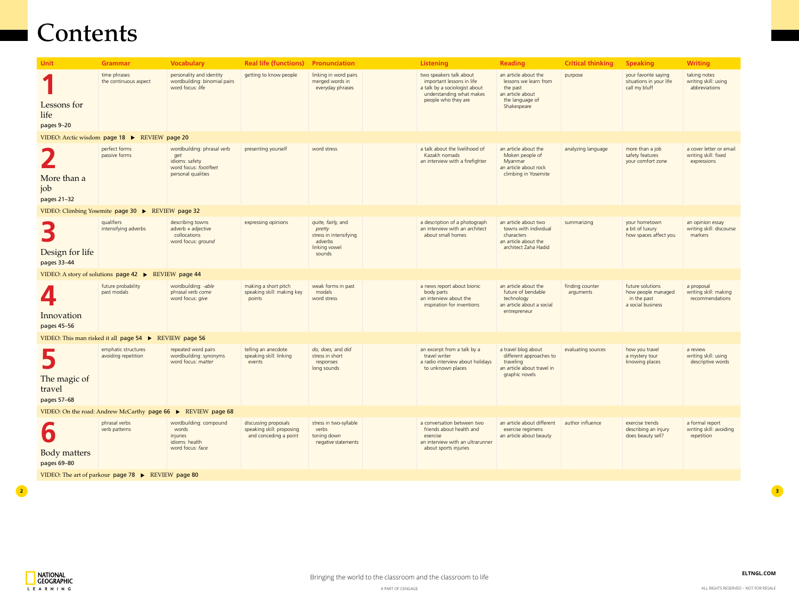**[ELTNGL.COM](http://ngl.cengage.com/search/showresults.do?N=200)**

| <b>Unit</b>                                                  | <b>Grammar</b>                                         | <b>Vocabulary</b>                                                                                  | <b>Real life (functions)</b>                                               | Pronunciation                                                                                |  | <b>Listening</b>                                                                                                                         | <b>Reading</b>                                                                                                  | <b>Critical thinking</b>     | <b>Speaking</b>                                                            | <b>Writing</b>                                                 |  |  |
|--------------------------------------------------------------|--------------------------------------------------------|----------------------------------------------------------------------------------------------------|----------------------------------------------------------------------------|----------------------------------------------------------------------------------------------|--|------------------------------------------------------------------------------------------------------------------------------------------|-----------------------------------------------------------------------------------------------------------------|------------------------------|----------------------------------------------------------------------------|----------------------------------------------------------------|--|--|
| Lessons for<br>life<br>pages 9-20                            | time phrases<br>the continuous aspect                  | personality and identity<br>wordbuilding: binomial pairs<br>word focus: life                       | getting to know people                                                     | linking in word pairs<br>merged words in<br>everyday phrases                                 |  | two speakers talk about<br>important lessons in life<br>a talk by a sociologist about<br>understanding what makes<br>people who they are | an article about the<br>lessons we learn from<br>the past<br>an article about<br>the language of<br>Shakespeare | purpose                      | your favorite saying<br>situations in your life<br>call my bluff           | taking notes<br>writing skill: using<br>abbreviations          |  |  |
| VIDEO: Arctic wisdom page 18 ▶ REVIEW page 20                |                                                        |                                                                                                    |                                                                            |                                                                                              |  |                                                                                                                                          |                                                                                                                 |                              |                                                                            |                                                                |  |  |
| More than a<br>job<br>pages 21-32                            | perfect forms<br>passive forms                         | wordbuilding: phrasal verb<br>get<br>idioms: safety<br>word focus: foot/feet<br>personal qualities | presenting yourself                                                        | word stress                                                                                  |  | a talk about the livelihood of<br>Kazakh nomads<br>an interview with a firefighter                                                       | an article about the<br>Moken people of<br>Myanmar<br>an article about rock<br>climbing in Yosemite             | analyzing language           | more than a job<br>safety features<br>your comfort zone                    | a cover letter or email<br>writing skill: fixed<br>expressions |  |  |
|                                                              | VIDEO: Climbing Yosemite page 30 ▶ REVIEW page 32      |                                                                                                    |                                                                            |                                                                                              |  |                                                                                                                                          |                                                                                                                 |                              |                                                                            |                                                                |  |  |
| B<br>Design for life<br>pages 33-44                          | qualifiers<br>intensifying adverbs                     | describing towns<br>$adverb + adjective$<br>collocations<br>word focus: ground                     | expressing opinions                                                        | quite, fairly, and<br>pretty<br>stress in intensifying<br>adverbs<br>linking vowel<br>sounds |  | a description of a photograph<br>an interview with an architect<br>about small homes                                                     | an article about two<br>towns with individual<br>characters<br>an article about the<br>architect Zaha Hadid     | summarizing                  | your hometown<br>a bit of luxury<br>how spaces affect you                  | an opinion essay<br>writing skill: discourse<br>markers        |  |  |
| VIDEO: A story of solutions page 42                          | $\blacktriangleright$                                  | REVIEW page 44                                                                                     |                                                                            |                                                                                              |  |                                                                                                                                          |                                                                                                                 |                              |                                                                            |                                                                |  |  |
| 4<br>Innovation<br>pages 45-56                               | future probability<br>past modals                      | wordbuilding: -able<br>phrasal verb come<br>word focus: give                                       | making a short pitch<br>speaking skill: making key<br>points               | weak forms in past<br>modals<br>word stress                                                  |  | a news report about bionic<br>body parts<br>an interview about the<br>inspiration for inventions                                         | an article about the<br>future of bendable<br>technology<br>an article about a social<br>entrepreneur           | finding counter<br>arguments | future solutions<br>how people managed<br>in the past<br>a social business | a proposal<br>writing skill: making<br>recommendations         |  |  |
|                                                              | VIDEO: This man risked it all page 54 ▶ REVIEW page 56 |                                                                                                    |                                                                            |                                                                                              |  |                                                                                                                                          |                                                                                                                 |                              |                                                                            |                                                                |  |  |
| The magic of<br>travel<br>pages 57-68                        | emphatic structures<br>avoiding repetition             | repeated word pairs<br>wordbuilding: synonyms<br>word focus: matter                                | telling an anecdote<br>speaking skill: linking<br>events                   | do, does, and did<br>stress in short<br>responses<br>long sounds                             |  | an excerpt from a talk by a<br>travel writer<br>a radio interview about holidays<br>to unknown places                                    | a travel blog about<br>different approaches to<br>traveling<br>an article about travel in<br>graphic novels     | evaluating sources           | how you travel<br>a mystery tour<br>knowing places                         | a review<br>writing skill: using<br>descriptive words          |  |  |
| VIDEO: On the road: Andrew McCarthy page 66 ▶ REVIEW page 68 |                                                        |                                                                                                    |                                                                            |                                                                                              |  |                                                                                                                                          |                                                                                                                 |                              |                                                                            |                                                                |  |  |
| $\boldsymbol{b}$<br><b>Body matters</b><br>pages 69-80       | phrasal verbs<br>verb patterns                         | wordbuilding: compound<br>words<br>injuries<br>idioms: health<br>word focus: face                  | discussing proposals<br>speaking skill: proposing<br>and conceding a point | stress in two-syllable<br>verbs<br>toning down<br>negative statements                        |  | a conversation between two<br>friends about health and<br>exercise<br>an interview with an ultrarunner<br>about sports injuries          | an article about different<br>exercise regimens<br>an article about beauty                                      | author influence             | exercise trends<br>describing an injury<br>does beauty sell?               | a formal report<br>writing skill: avoiding<br>repetition       |  |  |
| VIDEO: The art of parkour page 78 ▶ REVIEW page 80           |                                                        |                                                                                                    |                                                                            |                                                                                              |  |                                                                                                                                          |                                                                                                                 |                              |                                                                            |                                                                |  |  |



## Contents